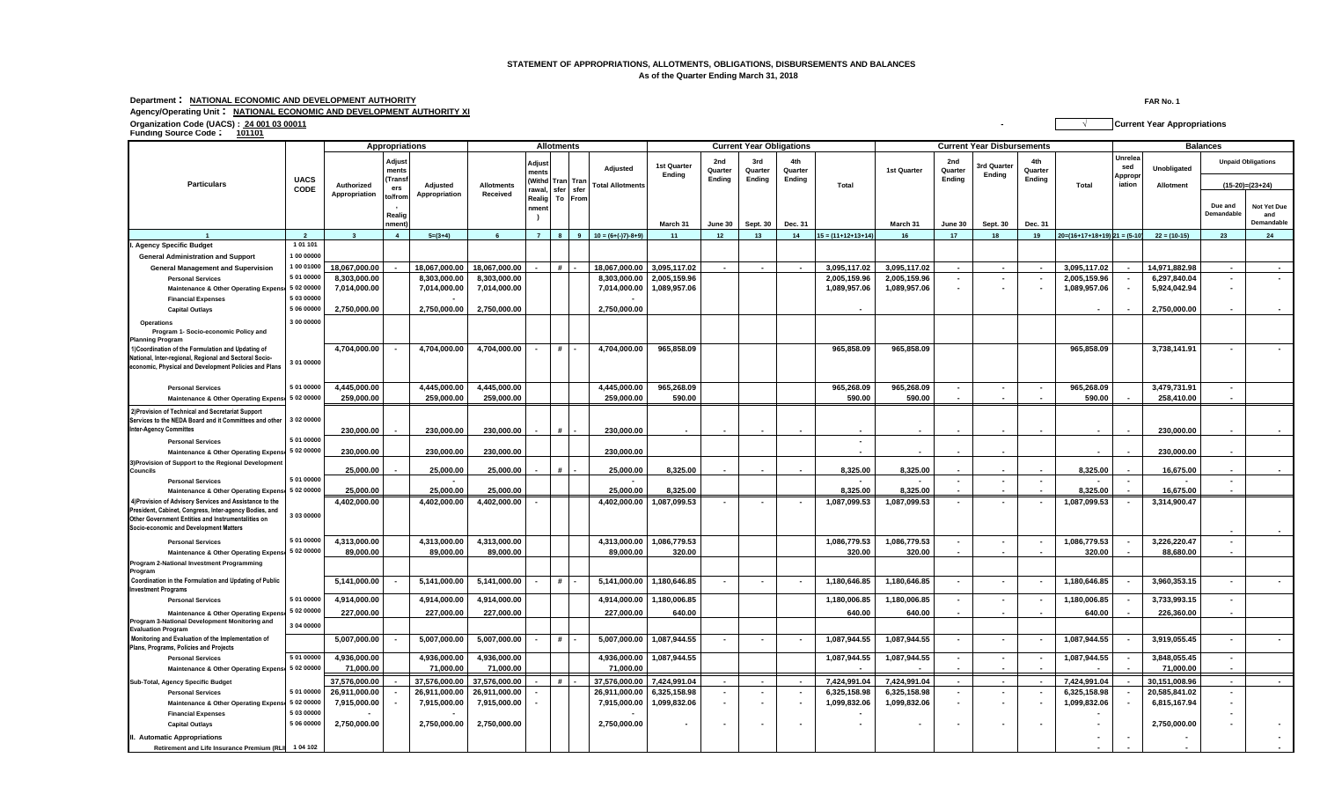## **STATEMENT OF APPROPRIATIONS, ALLOTMENTS, OBLIGATIONS, DISBURSEMENTS AND BALANCES As of the Quarter Ending March 31, 2018**

## **Department : NATIONAL ECONOMIC AND DEVELOPMENT AUTHORITY FAR No. 1 Agency/Operating Unit : NATIONAL ECONOMIC AND DEVELOPMENT AUTHORITY XI**

**Organization Code (UACS) : 24 001 03 00011 - √ Current Year Appropriations Funding Source Code : <sup>101101</sup>**

|                                                                                                        |                          | Appropriations          |                 |               |                   |                          | <b>Allotments</b> |                 |                         | <b>Current Year Obligations</b> |                          |                |                          |                          | <b>Current Year Disbursements</b> |                          |                              |                |                                  | <b>Balances</b>           |                |                           |                   |
|--------------------------------------------------------------------------------------------------------|--------------------------|-------------------------|-----------------|---------------|-------------------|--------------------------|-------------------|-----------------|-------------------------|---------------------------------|--------------------------|----------------|--------------------------|--------------------------|-----------------------------------|--------------------------|------------------------------|----------------|----------------------------------|---------------------------|----------------|---------------------------|-------------------|
|                                                                                                        |                          |                         | Adjust<br>ments |               |                   | Adjust<br>nents          |                   |                 | Adjusted                | 1st Quarter<br>Ending           | 2nd<br>Quarter           | 3rd<br>Quarter | 4th<br>Quarter           |                          | 1st Quarter                       | 2nd<br>Quarter<br>Endina | <b>Brd Quarter</b><br>Ending | 4th<br>Quarter |                                  | Unrelea<br>sed<br>Appropi | Unobligated    | <b>Unpaid Obligations</b> |                   |
| <b>Particulars</b>                                                                                     | <b>UACS</b><br>CODE      | Authorized              | Trans<br>ers    | Adjusted      | <b>Allotments</b> |                          |                   | Withd Tran Tran | <b>Total Allotments</b> |                                 | Ending                   | <b>Ending</b>  | Ending                   | Total                    |                                   |                          |                              | Ending         | Total                            | iation                    | Allotment      |                           | $(15-20)=(23+24)$ |
|                                                                                                        |                          | Appropriation           | to/from         | Appropriation | Received          | rawal,<br>Realig To From | sfer              | sfer            |                         |                                 |                          |                |                          |                          |                                   |                          |                              |                |                                  |                           |                |                           |                   |
|                                                                                                        |                          |                         |                 |               |                   | nment                    |                   |                 |                         |                                 |                          |                |                          |                          |                                   |                          |                              |                |                                  |                           |                | Due and                   | Not Yet Due       |
|                                                                                                        |                          |                         | Realig          |               |                   |                          |                   |                 |                         |                                 |                          |                |                          |                          |                                   |                          |                              |                |                                  |                           |                | Demandable                | and               |
|                                                                                                        |                          |                         | nment           |               |                   |                          |                   |                 |                         | March 31                        | June 30                  | Sept. 30       | Dec. 31                  |                          | March 31                          | June 30                  | Sept. 30                     | Dec. 31        |                                  |                           |                |                           | Demandable        |
|                                                                                                        | $\overline{2}$           | $\overline{\mathbf{3}}$ | $\overline{4}$  | $5=(3+4)$     |                   | $\overline{7}$           | 8                 |                 | $10 = (6+(-7)-8+9)$     | 11                              | 12                       | 13             | 14                       | $15 = (11+12+13+14)$     | 16                                | 17                       | 18                           | 19             | $20=(16+17+18+19)$ $21 = (5-10)$ |                           | $22 = (10-15)$ | 23                        | 24                |
| <b>Agency Specific Budget</b>                                                                          | 1 01 101                 |                         |                 |               |                   |                          |                   |                 |                         |                                 |                          |                |                          |                          |                                   |                          |                              |                |                                  |                           |                |                           |                   |
| <b>General Administration and Support</b>                                                              | 00 00000                 |                         |                 |               |                   |                          |                   |                 |                         |                                 |                          |                |                          |                          |                                   |                          |                              |                |                                  |                           |                |                           |                   |
| <b>General Management and Supervision</b>                                                              | 1 00 01000               | 18,067,000.00           |                 | 18,067,000.00 | 18,067,000.00     |                          | #                 |                 | 18,067,000.00           | 3,095,117.02                    |                          |                | $\overline{\phantom{a}}$ | 3,095,117.02             | 3,095,117.02                      |                          | $\overline{\phantom{a}}$     |                | 3,095,117.02                     |                           | 14,971,882.98  |                           |                   |
| <b>Personal Services</b>                                                                               | 5 01 00000               | 8,303,000.00            |                 | 8,303,000.00  | 8,303,000.00      |                          |                   |                 | 8,303,000.00            | 2,005,159.96                    |                          |                |                          | 2,005,159.96             | 2,005,159.96                      |                          | $\blacksquare$               |                | 2,005,159.96                     | $\overline{\phantom{a}}$  | 6,297,840.04   |                           |                   |
| Maintenance & Other Operating Expens                                                                   | 5 02 00000               | 7,014,000.00            |                 | 7,014,000.00  | 7,014,000.00      |                          |                   |                 | 7,014,000.00            | 1,089,957.06                    |                          |                |                          | 1,089,957.06             | 1,089,957.06                      |                          |                              |                | 1,089,957.06                     |                           | 5,924,042.94   |                           |                   |
| <b>Financial Expenses</b>                                                                              | 5 03 00000<br>5 06 00000 |                         |                 |               |                   |                          |                   |                 |                         |                                 |                          |                |                          |                          |                                   |                          |                              |                |                                  |                           |                |                           |                   |
| <b>Capital Outlays</b>                                                                                 |                          | 2,750,000.00            |                 | 2,750,000.00  | 2,750,000.00      |                          |                   |                 | 2,750,000.00            |                                 |                          |                |                          |                          |                                   |                          |                              |                |                                  |                           | 2,750,000.00   |                           |                   |
| Operations                                                                                             | 3 00 00000               |                         |                 |               |                   |                          |                   |                 |                         |                                 |                          |                |                          |                          |                                   |                          |                              |                |                                  |                           |                |                           |                   |
| Program 1- Socio-economic Policy and<br><b>Planning Program</b>                                        |                          |                         |                 |               |                   |                          |                   |                 |                         |                                 |                          |                |                          |                          |                                   |                          |                              |                |                                  |                           |                |                           |                   |
| 1)Coordination of the Formulation and Updating of                                                      |                          | 4,704,000.00            |                 | 4,704,000.00  | 4,704,000.00      |                          | #                 |                 | 4,704,000.00            | 965,858.09                      |                          |                |                          | 965,858.09               | 965,858.09                        |                          |                              |                | 965,858.09                       |                           | 3,738,141.91   |                           |                   |
| National, Inter-regional, Regional and Sectoral Socio-                                                 | 3 01 00000               |                         |                 |               |                   |                          |                   |                 |                         |                                 |                          |                |                          |                          |                                   |                          |                              |                |                                  |                           |                |                           |                   |
| economic, Physical and Development Policies and Plans                                                  |                          |                         |                 |               |                   |                          |                   |                 |                         |                                 |                          |                |                          |                          |                                   |                          |                              |                |                                  |                           |                |                           |                   |
|                                                                                                        |                          |                         |                 |               |                   |                          |                   |                 |                         |                                 |                          |                |                          |                          |                                   |                          |                              |                |                                  |                           |                |                           |                   |
| <b>Personal Services</b>                                                                               | 5 01 00000               | 4,445,000.00            |                 | 4,445,000.00  | 4,445,000.00      |                          |                   |                 | 4,445,000.00            | 965,268.09                      |                          |                |                          | 965,268.09               | 965,268.09                        |                          |                              |                | 965,268.09                       |                           | 3,479,731.91   |                           |                   |
| Maintenance & Other Operating Expense                                                                  | 5 02 00000               | 259,000.00              |                 | 259,000.00    | 259,000.00        |                          |                   |                 | 259,000.00              | 590.00                          |                          |                |                          | 590.00                   | 590.00                            |                          |                              |                | 590.00                           |                           | 258,410.00     |                           |                   |
| 2) Provision of Technical and Secretariat Support                                                      |                          |                         |                 |               |                   |                          |                   |                 |                         |                                 |                          |                |                          |                          |                                   |                          |                              |                |                                  |                           |                |                           |                   |
| Services to the NEDA Board and it Committees and other<br><b>Inter-Agency Committes</b>                | 3 02 00000               |                         |                 |               |                   |                          |                   |                 |                         |                                 |                          |                |                          |                          |                                   |                          |                              |                |                                  |                           |                |                           |                   |
|                                                                                                        | 5 01 00000               | 230,000.00              |                 | 230,000.00    | 230,000.00        |                          |                   |                 | 230,000.00              |                                 |                          |                |                          |                          |                                   |                          |                              |                |                                  |                           | 230,000.00     |                           |                   |
| <b>Personal Services</b>                                                                               | 5 02 00000               |                         |                 |               |                   |                          |                   |                 |                         |                                 |                          |                |                          | $\overline{\phantom{a}}$ |                                   |                          |                              |                |                                  |                           | 230,000.00     |                           |                   |
| <b>Maintenance &amp; Other Operating Expens</b><br>3) Provision of Support to the Regional Development |                          | 230,000.00              |                 | 230,000.00    | 230,000.00        |                          |                   |                 | 230,000.00              |                                 |                          |                |                          |                          |                                   |                          |                              |                |                                  |                           |                |                           |                   |
| <b>Councils</b>                                                                                        |                          | 25,000.00               |                 | 25,000.00     | 25,000.00         |                          |                   |                 | 25,000.00               | 8.325.00                        |                          |                |                          | 8.325.00                 | 8,325.00                          |                          |                              |                | 8,325.00                         |                           | 16,675.00      |                           |                   |
| <b>Personal Services</b>                                                                               | 5 01 00000               |                         |                 |               |                   |                          |                   |                 |                         |                                 |                          |                |                          | $\overline{\phantom{a}}$ |                                   | $\sim$                   | $\sim$                       | $\sim$         |                                  | $\sim$                    |                |                           |                   |
| Maintenance & Other Operating Expense                                                                  | 50200000                 | 25,000.00               |                 | 25.000.00     | 25,000.00         |                          |                   |                 | 25.000.00               | 8.325.00                        |                          |                |                          | 8.325.00                 | 8.325.00                          |                          | $\blacksquare$               |                | 8.325.00                         |                           | 16.675.00      |                           |                   |
| 4) Provision of Advisory Services and Assistance to the                                                |                          | 4,402,000.00            |                 | 4,402,000.00  | 4,402,000.00      |                          |                   |                 | 4,402,000.00            | 1,087,099.53                    | $\overline{\phantom{a}}$ |                |                          | 1,087,099.53             | 1,087,099.53                      | $\sim$                   | $\overline{\phantom{a}}$     |                | 1,087,099.53                     | $\sim$                    | 3,314,900.47   |                           |                   |
| President, Cabinet, Congress, Inter-agency Bodies, and                                                 | 3 03 00000               |                         |                 |               |                   |                          |                   |                 |                         |                                 |                          |                |                          |                          |                                   |                          |                              |                |                                  |                           |                |                           |                   |
| Other Government Entities and Instrumentalities on<br>Socio-economic and Development Matters           |                          |                         |                 |               |                   |                          |                   |                 |                         |                                 |                          |                |                          |                          |                                   |                          |                              |                |                                  |                           |                |                           |                   |
|                                                                                                        | 5 01 00000               |                         |                 |               |                   |                          |                   |                 |                         |                                 |                          |                |                          |                          |                                   |                          |                              |                |                                  |                           |                |                           |                   |
| <b>Personal Services</b>                                                                               | 5 02 00000               | 4,313,000.00            |                 | 4,313,000.00  | 4,313,000.00      |                          |                   |                 | 4,313,000.00            | 1,086,779.53                    |                          |                |                          | 1,086,779.53             | 1,086,779.53                      | $\sim$                   | $\sim$                       |                | 1,086,779.53                     | $\sim$                    | 3,226,220.47   | $\overline{\phantom{a}}$  |                   |
| <b>Maintenance &amp; Other Operating Expens</b>                                                        |                          | 89,000.00               |                 | 89,000.00     | 89,000.00         |                          |                   |                 | 89,000.00               | 320.00                          |                          |                |                          | 320.00                   | 320.00                            |                          |                              |                | 320.00                           |                           | 88,680.00      |                           |                   |
| Program 2-National Investment Programming<br>Program                                                   |                          |                         |                 |               |                   |                          |                   |                 |                         |                                 |                          |                |                          |                          |                                   |                          |                              |                |                                  |                           |                |                           |                   |
| Coordination in the Formulation and Updating of Public                                                 |                          | 5,141,000.00            |                 | 5,141,000.00  | 5,141,000.00      |                          | #                 |                 | 5,141,000.00            | 1,180,646.85                    |                          |                |                          | 1,180,646.85             | 1,180,646.85                      |                          | $\blacksquare$               |                | 1,180,646.85                     | $\sim$                    | 3,960,353.15   |                           |                   |
| <b>Investment Programs</b>                                                                             |                          |                         |                 |               |                   |                          |                   |                 |                         |                                 |                          |                |                          |                          |                                   |                          |                              |                |                                  |                           |                |                           |                   |
| <b>Personal Services</b>                                                                               | 5 01 00000               | 4,914,000.00            |                 | 4,914,000.00  | 4,914,000.00      |                          |                   |                 | 4,914,000.00            | 1,180,006.85                    |                          |                |                          | 1,180,006.85             | 1,180,006.85                      | $\sim$                   | $\blacksquare$               |                | 1,180,006.85                     |                           | 3,733,993.15   |                           |                   |
| <b>Maintenance &amp; Other Operating Expens</b>                                                        | 5 02 00000               | 227,000.00              |                 | 227,000.00    | 227,000.00        |                          |                   |                 | 227,000.00              | 640.00                          |                          |                |                          | 640.00                   | 640.00                            |                          |                              |                | 640.00                           |                           | 226,360.00     |                           |                   |
| Program 3-National Development Monitoring and<br><b>Evaluation Program</b>                             | 3 04 00000               |                         |                 |               |                   |                          |                   |                 |                         |                                 |                          |                |                          |                          |                                   |                          |                              |                |                                  |                           |                |                           |                   |
| Monitoring and Evaluation of the Implementation of                                                     |                          | 5,007,000.00            |                 | 5,007,000.00  | 5,007,000.00      |                          | #                 |                 | 5,007,000.00            | 1,087,944.55                    | $\blacksquare$           |                |                          | 1,087,944.55             | 1,087,944.55                      | $\sim$                   | $\blacksquare$               |                | 1,087,944.55                     | $\sim$                    | 3,919,055.45   |                           |                   |
| Plans, Programs, Policies and Projects                                                                 |                          |                         |                 |               |                   |                          |                   |                 |                         |                                 |                          |                |                          |                          |                                   |                          |                              |                |                                  |                           |                |                           |                   |
| <b>Personal Services</b>                                                                               | 5 01 00000               | 4,936,000.00            |                 | 4,936,000.00  | 4,936,000.00      |                          |                   |                 | 4,936,000.00            | 1,087,944.55                    |                          |                |                          | 1,087,944.55             | 1,087,944.55                      |                          | $\blacksquare$               |                | 1,087,944.55                     | $\overline{\phantom{a}}$  | 3,848,055.45   |                           |                   |
| Maintenance & Other Operating Expense                                                                  | 5 02 00000               | 71,000.00               |                 | 71,000.00     | 71,000.00         |                          |                   |                 | 71,000.00               |                                 |                          |                |                          |                          |                                   |                          |                              |                |                                  |                           | 71,000.00      |                           |                   |
| Sub-Total, Agency Specific Budget                                                                      |                          | 37.576.000.00           |                 | 37,576,000.00 | 37,576,000.00     |                          | #                 |                 | 37.576.000.00           | 7,424,991.04                    |                          |                |                          | 7.424.991.04             | 7,424,991.04                      |                          |                              |                | 7.424.991.04                     |                           | 30.151.008.96  |                           |                   |
| <b>Personal Services</b>                                                                               | 5 01 00000               | 26,911,000.00           |                 | 26,911,000.00 | 26,911,000.00     |                          |                   |                 | 26,911,000.00           | 6,325,158.98                    | $\overline{\phantom{a}}$ | $\sim$         | $\blacksquare$           | 6,325,158.98             | 6,325,158.98                      | $\sim$                   | $\sim$                       |                | 6,325,158.98                     | $\sim$                    | 20,585,841.02  |                           |                   |
| <b>Maintenance &amp; Other Operating Expens</b>                                                        | 5 02 00000               | 7,915,000.00            |                 | 7,915,000.00  | 7,915,000.00      |                          |                   |                 | 7,915,000.00            | 1,099,832.06                    | $\blacksquare$           |                |                          | 1,099,832.06             | 1,099,832.06                      |                          |                              |                | 1,099,832.06                     |                           | 6,815,167.94   |                           |                   |
| <b>Financial Expenses</b>                                                                              | 5 03 00000               |                         |                 |               |                   |                          |                   |                 |                         |                                 |                          |                |                          |                          |                                   |                          |                              |                |                                  |                           |                |                           |                   |
| <b>Capital Outlays</b>                                                                                 | 5 06 00000               | 2,750,000.00            |                 | 2,750,000.00  | 2,750,000.00      |                          |                   |                 | 2,750,000.00            |                                 |                          |                |                          |                          |                                   |                          |                              |                |                                  |                           | 2,750,000.00   |                           |                   |
| II. Automatic Appropriations                                                                           |                          |                         |                 |               |                   |                          |                   |                 |                         |                                 |                          |                |                          |                          |                                   |                          |                              |                |                                  |                           |                |                           |                   |
| Retirement and Life Insurance Premium (RLII                                                            | 1 04 102                 |                         |                 |               |                   |                          |                   |                 |                         |                                 |                          |                |                          |                          |                                   |                          |                              |                |                                  |                           |                |                           |                   |